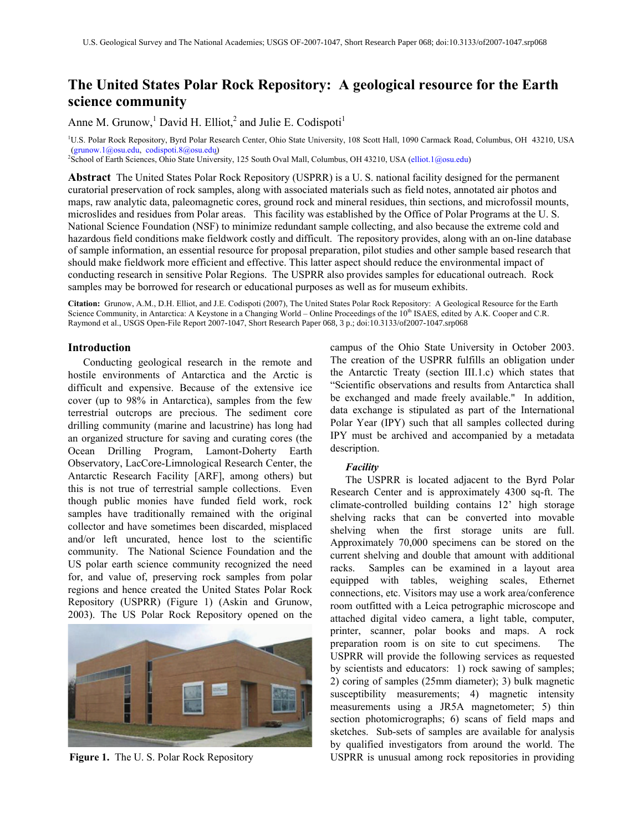# **The United States Polar Rock Repository: A geological resource for the Earth science community**

Anne M. Grunow,<sup>1</sup> David H. Elliot,<sup>2</sup> and Julie E. Codispoti<sup>1</sup>

<sup>1</sup>U.S. Polar Rock Repository, Byrd Polar Research Center, Ohio State University, 108 Scott Hall, 1090 Carmack Road, Columbus, OH 43210, USA [\(grunow.1@osu.edu,](mailto:grunow.1@osu.edu) [codispoti.8@osu.edu](mailto:codispoti.8@osu.edu))

<sup>2</sup>School of Earth Sciences, Ohio State University, 125 South Oval Mall, Columbus, OH 43210, USA ([elliot.1@osu.edu](mailto:elliot.1@osu.edu))

**Abstract** The United States Polar Rock Repository (USPRR) is a U. S. national facility designed for the permanent curatorial preservation of rock samples, along with associated materials such as field notes, annotated air photos and maps, raw analytic data, paleomagnetic cores, ground rock and mineral residues, thin sections, and microfossil mounts, microslides and residues from Polar areas. This facility was established by the Office of Polar Programs at the U. S. National Science Foundation (NSF) to minimize redundant sample collecting, and also because the extreme cold and hazardous field conditions make fieldwork costly and difficult. The repository provides, along with an on-line database of sample information, an essential resource for proposal preparation, pilot studies and other sample based research that should make fieldwork more efficient and effective. This latter aspect should reduce the environmental impact of conducting research in sensitive Polar Regions. The USPRR also provides samples for educational outreach. Rock samples may be borrowed for research or educational purposes as well as for museum exhibits.

**Citation:** Grunow, A.M., D.H. Elliot, and J.E. Codispoti (2007), The United States Polar Rock Repository: A Geological Resource for the Earth Science Community, in Antarctica: A Keystone in a Changing World – Online Proceedings of the 10<sup>th</sup> ISAES, edited by A.K. Cooper and C.R. Raymond et al., USGS Open-File Report 2007-1047, Short Research Paper 068, 3 p.; doi:10.3133/of2007-1047.srp068

# **Introduction**

Conducting geological research in the remote and hostile environments of Antarctica and the Arctic is difficult and expensive. Because of the extensive ice cover (up to 98% in Antarctica), samples from the few terrestrial outcrops are precious. The sediment core drilling community (marine and lacustrine) has long had an organized structure for saving and curating cores (the Ocean Drilling Program, Lamont-Doherty Earth Observatory, LacCore-Limnological Research Center, the Antarctic Research Facility [ARF], among others) but this is not true of terrestrial sample collections. Even though public monies have funded field work, rock samples have traditionally remained with the original collector and have sometimes been discarded, misplaced and/or left uncurated, hence lost to the scientific community. The National Science Foundation and the US polar earth science community recognized the need for, and value of, preserving rock samples from polar regions and hence created the United States Polar Rock Repository (USPRR) (Figure 1) (Askin and Grunow, 2003). The US Polar Rock Repository opened on the



campus of the Ohio State University in October 2003. The creation of the USPRR fulfills an obligation under the Antarctic Treaty (section III.1.c) which states that "Scientific observations and results from Antarctica shall be exchanged and made freely available." In addition, data exchange is stipulated as part of the International Polar Year (IPY) such that all samples collected during IPY must be archived and accompanied by a metadata description.

# *Facility*

The USPRR is located adjacent to the Byrd Polar Research Center and is approximately 4300 sq-ft. The climate-controlled building contains 12' high storage shelving racks that can be converted into movable shelving when the first storage units are full. Approximately 70,000 specimens can be stored on the current shelving and double that amount with additional racks. Samples can be examined in a layout area equipped with tables, weighing scales, Ethernet connections, etc. Visitors may use a work area/conference room outfitted with a Leica petrographic microscope and attached digital video camera, a light table, computer, printer, scanner, polar books and maps. A rock preparation room is on site to cut specimens. The USPRR will provide the following services as requested by scientists and educators: 1) rock sawing of samples; 2) coring of samples (25mm diameter); 3) bulk magnetic susceptibility measurements; 4) magnetic intensity measurements using a JR5A magnetometer; 5) thin section photomicrographs; 6) scans of field maps and sketches. Sub-sets of samples are available for analysis by qualified investigators from around the world. The **Figure 1.** The U. S. Polar Rock Repository USPRR is unusual among rock repositories in providing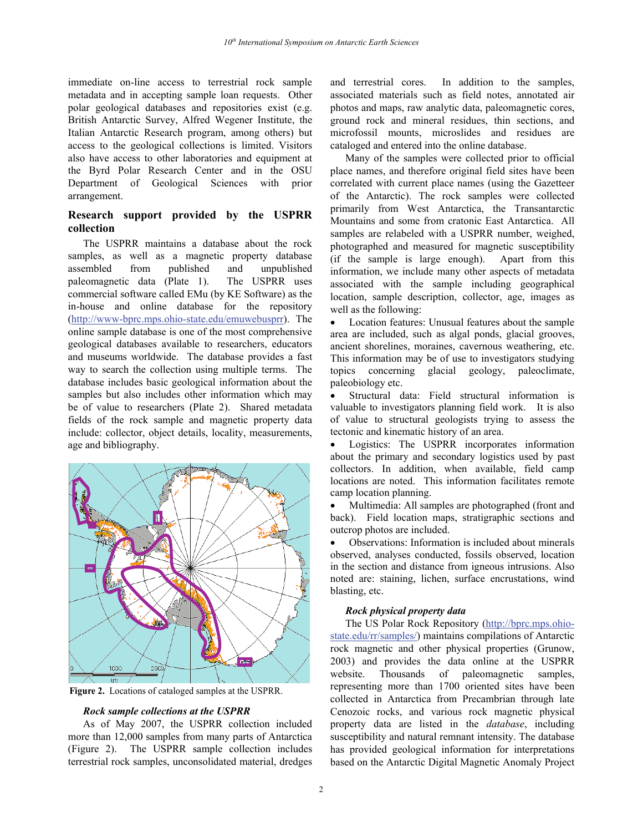immediate on-line access to terrestrial rock sample metadata and in accepting sample loan requests. Other polar geological databases and repositories exist (e.g. British Antarctic Survey, Alfred Wegener Institute, the Italian Antarctic Research program, among others) but access to the geological collections is limited. Visitors also have access to other laboratories and equipment at the Byrd Polar Research Center and in the OSU Department of Geological Sciences with prior arrangement.

# **Research support provided by the USPRR collection**

The USPRR maintains a database about the rock samples, as well as a magnetic property database assembled from published and unpublished paleomagnetic data (Plate 1). The USPRR uses commercial software called EMu (by KE Software) as the in-house and online database for the repository [\(http://www-bprc.mps.ohio-state.edu/emuwebusprr\). T](http://www-bprc.mps.ohio-state.edu/emuwebusprr)he online sample database is one of the most comprehensive geological databases available to researchers, educators and museums worldwide. The database provides a fast way to search the collection using multiple terms. The database includes basic geological information about the samples but also includes other information which may be of value to researchers (Plate 2). Shared metadata fields of the rock sample and magnetic property data include: collector, object details, locality, measurements, age and bibliography.



**Figure 2.** Locations of cataloged samples at the USPRR.

## *Rock sample collections at the USPRR*

As of May 2007, the USPRR collection included more than 12,000 samples from many parts of Antarctica (Figure 2). The USPRR sample collection includes terrestrial rock samples, unconsolidated material, dredges

and terrestrial cores. In addition to the samples, associated materials such as field notes, annotated air photos and maps, raw analytic data, paleomagnetic cores, ground rock and mineral residues, thin sections, and microfossil mounts, microslides and residues are cataloged and entered into the online database.

Many of the samples were collected prior to official place names, and therefore original field sites have been correlated with current place names (using the Gazetteer of the Antarctic). The rock samples were collected primarily from West Antarctica, the Transantarctic Mountains and some from cratonic East Antarctica. All samples are relabeled with a USPRR number, weighed, photographed and measured for magnetic susceptibility (if the sample is large enough). Apart from this information, we include many other aspects of metadata associated with the sample including geographical location, sample description, collector, age, images as well as the following:

Location features: Unusual features about the sample area are included, such as algal ponds, glacial grooves, ancient shorelines, moraines, cavernous weathering, etc. This information may be of use to investigators studying topics concerning glacial geology, paleoclimate, paleobiology etc.

• Structural data: Field structural information is valuable to investigators planning field work. It is also of value to structural geologists trying to assess the tectonic and kinematic history of an area.

Logistics: The USPRR incorporates information about the primary and secondary logistics used by past collectors. In addition, when available, field camp locations are noted. This information facilitates remote camp location planning.

• Multimedia: All samples are photographed (front and back). Field location maps, stratigraphic sections and outcrop photos are included.

• Observations: Information is included about minerals observed, analyses conducted, fossils observed, location in the section and distance from igneous intrusions. Also noted are: staining, lichen, surface encrustations, wind blasting, etc.

## *Rock physical property data*

The US Polar Rock Repository ([http://bprc.mps.ohio](http://bprc.mps.ohio-state.edu/rr/samples/)[state.edu/rr/samples/](http://bprc.mps.ohio-state.edu/rr/samples/)) maintains compilations of Antarctic rock magnetic and other physical properties (Grunow, 2003) and provides the data online at the USPRR website. Thousands of paleomagnetic samples, representing more than 1700 oriented sites have been collected in Antarctica from Precambrian through late Cenozoic rocks, and various rock magnetic physical property data are listed in the *database*, including susceptibility and natural remnant intensity. The database has provided geological information for interpretations based on the Antarctic Digital Magnetic Anomaly Project